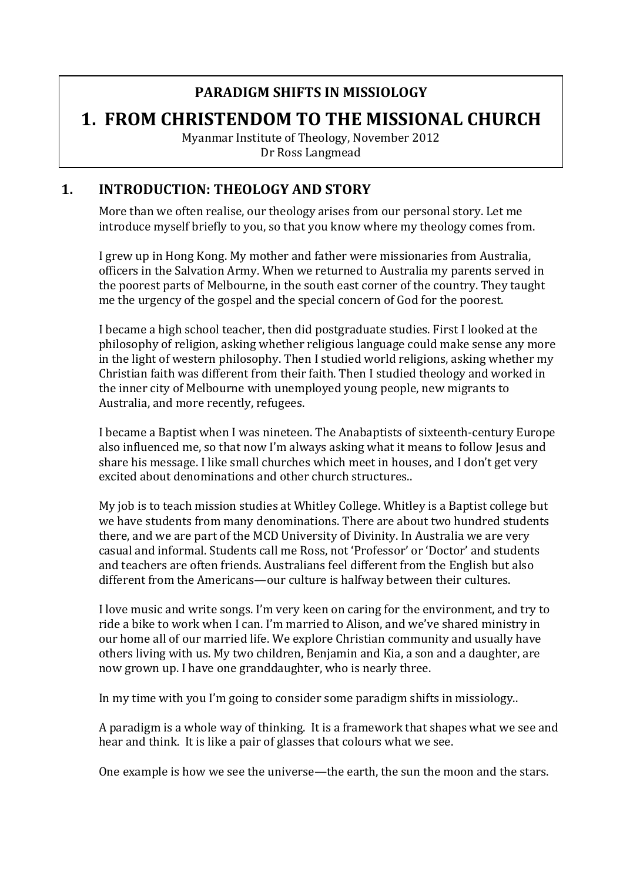# **PARADIGM SHIFTS IN MISSIOLOGY**

## **1. FROM CHRISTENDOM TO THE MISSIONAL CHURCH** Myanmar Institute of Theology, November 2012

Dr Ross Langmead

# 1. **INTRODUCTION: THEOLOGY AND STORY**

More than we often realise, our theology arises from our personal story. Let me introduce myself briefly to you, so that you know where my theology comes from.

I grew up in Hong Kong. My mother and father were missionaries from Australia, officers in the Salvation Army. When we returned to Australia my parents served in the poorest parts of Melbourne, in the south east corner of the country. They taught me the urgency of the gospel and the special concern of God for the poorest.

I became a high school teacher, then did postgraduate studies. First I looked at the philosophy of religion, asking whether religious language could make sense any more in the light of western philosophy. Then I studied world religions, asking whether my Christian faith was different from their faith. Then I studied theology and worked in the inner city of Melbourne with unemployed young people, new migrants to Australia, and more recently, refugees.

I became a Baptist when I was nineteen. The Anabaptists of sixteenth-century Europe also influenced me, so that now I'm always asking what it means to follow Jesus and share his message. I like small churches which meet in houses, and I don't get very excited about denominations and other church structures...

My job is to teach mission studies at Whitley College. Whitley is a Baptist college but we have students from many denominations. There are about two hundred students there, and we are part of the MCD University of Divinity. In Australia we are very casual and informal. Students call me Ross, not 'Professor' or 'Doctor' and students and teachers are often friends. Australians feel different from the English but also different from the Americans—our culture is halfway between their cultures.

I love music and write songs. I'm very keen on caring for the environment, and try to ride a bike to work when I can. I'm married to Alison, and we've shared ministry in our home all of our married life. We explore Christian community and usually have others living with us. My two children, Benjamin and Kia, a son and a daughter, are now grown up. I have one granddaughter, who is nearly three.

In my time with you I'm going to consider some paradigm shifts in missiology..

A paradigm is a whole way of thinking. It is a framework that shapes what we see and hear and think. It is like a pair of glasses that colours what we see.

One example is how we see the universe—the earth, the sun the moon and the stars.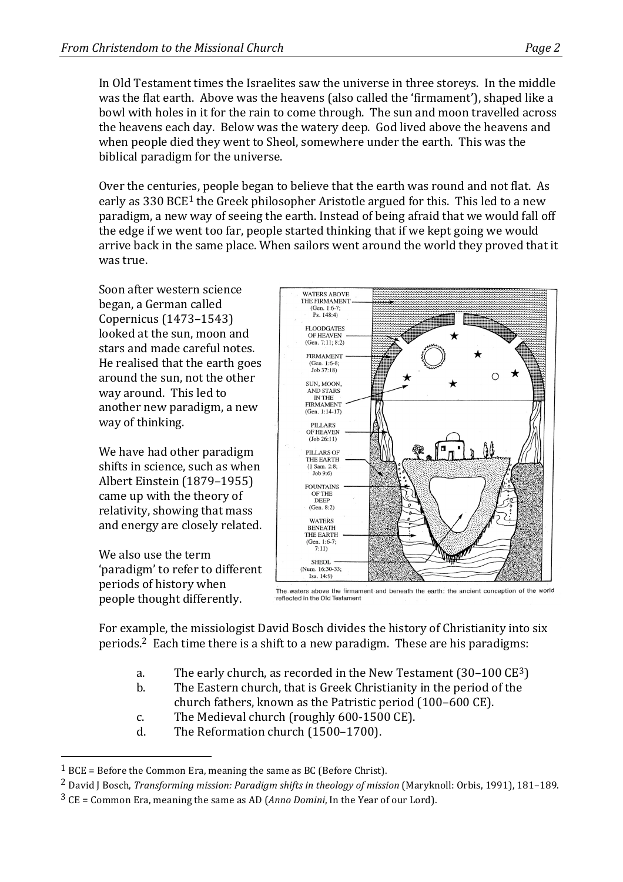In Old Testament times the Israelites saw the universe in three storeys. In the middle was the flat earth. Above was the heavens (also called the 'firmament'), shaped like a bowl with holes in it for the rain to come through. The sun and moon travelled across the heavens each day. Below was the watery deep. God lived above the heavens and when people died they went to Sheol, somewhere under the earth. This was the biblical paradigm for the universe.

Over the centuries, people began to believe that the earth was round and not flat. As early as  $330$  BCE<sup>1</sup> the Greek philosopher Aristotle argued for this. This led to a new paradigm, a new way of seeing the earth. Instead of being afraid that we would fall off the edge if we went too far, people started thinking that if we kept going we would arrive back in the same place. When sailors went around the world they proved that it was true.

Soon after western science began, a German called Copernicus (1473–1543) looked at the sun, moon and stars and made careful notes. He realised that the earth goes around the sun, not the other way around. This led to another new paradigm, a new way of thinking.

We have had other paradigm shifts in science, such as when Albert Einstein (1879–1955) came up with the theory of relativity, showing that mass and energy are closely related.

We also use the term 'paradigm' to refer to different periods of history when people thought differently.

 



The waters above the firmament and beneath the earth: the ancient conception of the world reflected in the Old Testament

For example, the missiologist David Bosch divides the history of Christianity into six periods.<sup>2</sup> Each time there is a shift to a new paradigm. These are his paradigms:

- a. The early church, as recorded in the New Testament  $(30-100 \text{ CE}^3)$
- b. The Eastern church, that is Greek Christianity in the period of the church fathers, known as the Patristic period (100–600 CE).
- c. The Medieval church (roughly 600-1500 CE).
- d. The Reformation church (1500–1700).

 $1$  BCE = Before the Common Era, meaning the same as BC (Before Christ).

<sup>&</sup>lt;sup>2</sup> David J Bosch, *Transforming mission: Paradigm shifts in theology of mission* (Maryknoll: Orbis, 1991), 181-189.

 $3$  CE = Common Era, meaning the same as AD (*Anno Domini*, In the Year of our Lord).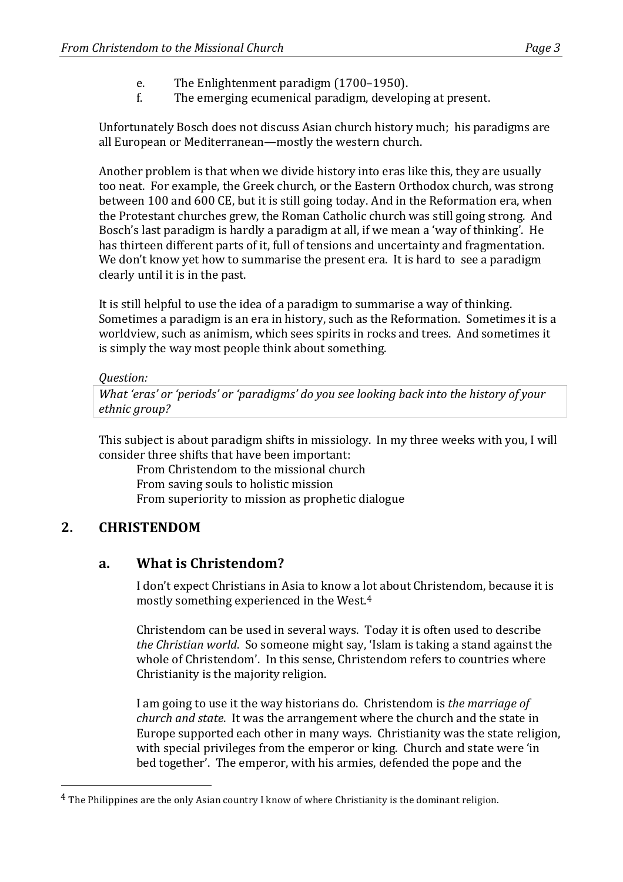- e. The Enlightenment paradigm (1700–1950).
- f. The emerging ecumenical paradigm, developing at present.

Unfortunately Bosch does not discuss Asian church history much; his paradigms are all European or Mediterranean—mostly the western church.

Another problem is that when we divide history into eras like this, they are usually too neat. For example, the Greek church, or the Eastern Orthodox church, was strong between 100 and 600 CE, but it is still going today. And in the Reformation era, when the Protestant churches grew, the Roman Catholic church was still going strong. And Bosch's last paradigm is hardly a paradigm at all, if we mean a 'way of thinking'. He has thirteen different parts of it, full of tensions and uncertainty and fragmentation. We don't know yet how to summarise the present era. It is hard to see a paradigm clearly until it is in the past.

It is still helpful to use the idea of a paradigm to summarise a way of thinking. Sometimes a paradigm is an era in history, such as the Reformation. Sometimes it is a worldview, such as animism, which sees spirits in rocks and trees. And sometimes it is simply the way most people think about something.

#### *Question:*

*What 'eras' or 'periods' or 'paradigms' do you see looking back into the history of your* ethnic group?

This subject is about paradigm shifts in missiology. In my three weeks with you, I will consider three shifts that have been important:

From Christendom to the missional church From saving souls to holistic mission From superiority to mission as prophetic dialogue

# **2. CHRISTENDOM**

 

## **a. What is Christendom?**

I don't expect Christians in Asia to know a lot about Christendom, because it is mostly something experienced in the West.<sup>4</sup>

Christendom can be used in several ways. Today it is often used to describe *the Christian world.* So someone might say, 'Islam is taking a stand against the whole of Christendom'. In this sense, Christendom refers to countries where Christianity is the majority religion.

I am going to use it the way historians do. Christendom is *the marriage of church and state.* It was the arrangement where the church and the state in Europe supported each other in many ways. Christianity was the state religion, with special privileges from the emperor or king. Church and state were 'in bed together'. The emperor, with his armies, defended the pope and the

 $4$  The Philippines are the only Asian country I know of where Christianity is the dominant religion.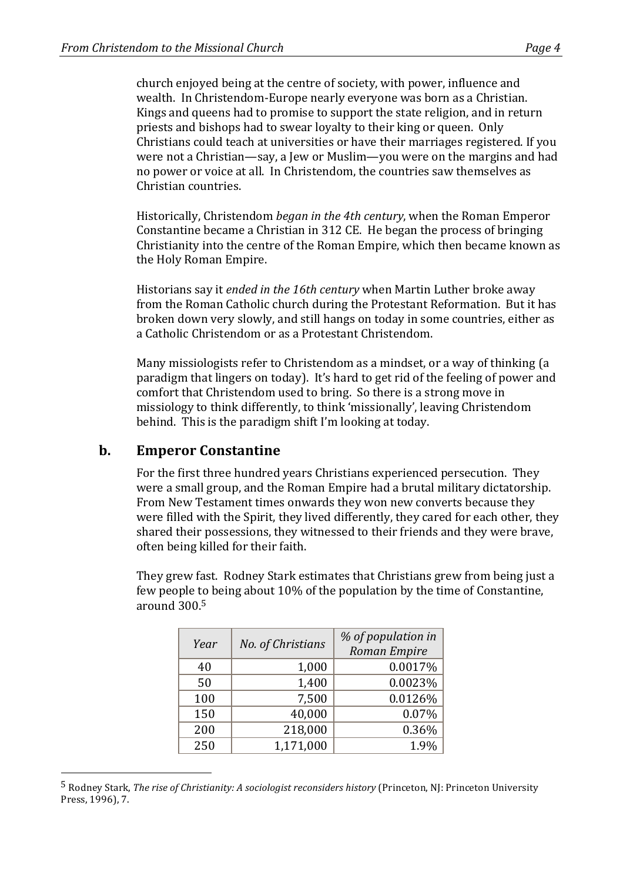church enjoyed being at the centre of society, with power, influence and wealth. In Christendom-Europe nearly everyone was born as a Christian. Kings and queens had to promise to support the state religion, and in return priests and bishops had to swear loyalty to their king or queen. Only Christians could teach at universities or have their marriages registered. If you were not a Christian—say, a Jew or Muslim—you were on the margins and had no power or voice at all. In Christendom, the countries saw themselves as Christian countries

Historically, Christendom *began in the 4th century*, when the Roman Emperor Constantine became a Christian in 312 CE. He began the process of bringing Christianity into the centre of the Roman Empire, which then became known as the Holy Roman Empire.

Historians say it *ended in the 16th century* when Martin Luther broke away from the Roman Catholic church during the Protestant Reformation. But it has broken down very slowly, and still hangs on today in some countries, either as a Catholic Christendom or as a Protestant Christendom.

Many missiologists refer to Christendom as a mindset, or a way of thinking (a paradigm that lingers on today). It's hard to get rid of the feeling of power and comfort that Christendom used to bring. So there is a strong move in missiology to think differently, to think 'missionally', leaving Christendom behind. This is the paradigm shift I'm looking at today.

## **b. Emperor Constantine**

 

For the first three hundred years Christians experienced persecution. They were a small group, and the Roman Empire had a brutal military dictatorship. From New Testament times onwards they won new converts because they were filled with the Spirit, they lived differently, they cared for each other, they shared their possessions, they witnessed to their friends and they were brave, often being killed for their faith.

They grew fast. Rodney Stark estimates that Christians grew from being just a few people to being about  $10\%$  of the population by the time of Constantine, around  $300<sup>5</sup>$ 

| Year | No. of Christians | % of population in<br><b>Roman Empire</b> |
|------|-------------------|-------------------------------------------|
| 40   | 1,000             | 0.0017%                                   |
| 50   | 1,400             | 0.0023%                                   |
| 100  | 7,500             | 0.0126%                                   |
| 150  | 40,000            | 0.07%                                     |
| 200  | 218,000           | 0.36%                                     |
| 250  | 1,171,000         | 1.90                                      |

<sup>&</sup>lt;sup>5</sup> Rodney Stark, *The rise of Christianity: A sociologist reconsiders history* (Princeton, NJ: Princeton University Press, 1996), 7.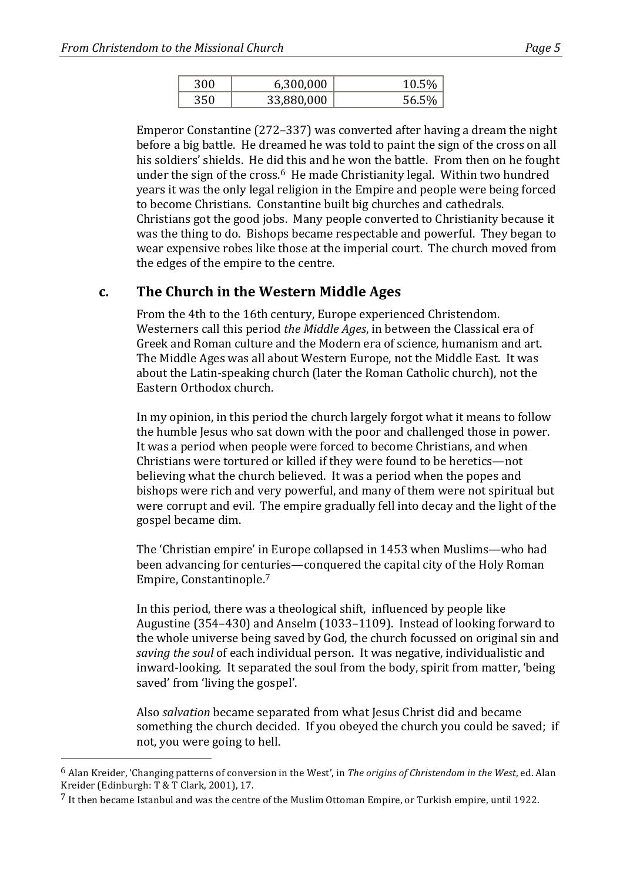|  | 6,300,000  |  |
|--|------------|--|
|  | 33,880,000 |  |

Emperor Constantine  $(272-337)$  was converted after having a dream the night before a big battle. He dreamed he was told to paint the sign of the cross on all his soldiers' shields. He did this and he won the battle. From then on he fought under the sign of the cross.<sup>6</sup> He made Christianity legal. Within two hundred years it was the only legal religion in the Empire and people were being forced to become Christians. Constantine built big churches and cathedrals. Christians got the good jobs. Many people converted to Christianity because it was the thing to do. Bishops became respectable and powerful. They began to wear expensive robes like those at the imperial court. The church moved from the edges of the empire to the centre.

#### **c.** The Church in the Western Middle Ages

From the 4th to the 16th century, Europe experienced Christendom. Westerners call this period *the Middle Ages*, in between the Classical era of Greek and Roman culture and the Modern era of science, humanism and art. The Middle Ages was all about Western Europe, not the Middle East. It was about the Latin-speaking church (later the Roman Catholic church), not the Eastern Orthodox church.

In my opinion, in this period the church largely forgot what it means to follow the humble Jesus who sat down with the poor and challenged those in power. It was a period when people were forced to become Christians, and when Christians were tortured or killed if they were found to be heretics—not believing what the church believed. It was a period when the popes and bishops were rich and very powerful, and many of them were not spiritual but were corrupt and evil. The empire gradually fell into decay and the light of the gospel became dim.

The 'Christian empire' in Europe collapsed in 1453 when Muslims—who had been advancing for centuries—conquered the capital city of the Holy Roman Empire, Constantinople.<sup>7</sup>

In this period, there was a theological shift, influenced by people like Augustine (354–430) and Anselm (1033–1109). Instead of looking forward to the whole universe being saved by God, the church focussed on original sin and saving the soul of each individual person. It was negative, individualistic and inward-looking. It separated the soul from the body, spirit from matter, 'being saved' from 'living the gospel'.

Also *salvation* became separated from what Jesus Christ did and became something the church decided. If you obeyed the church you could be saved; if not, you were going to hell.

 $^6$  Alan Kreider, 'Changing patterns of conversion in the West', in *The origins of Christendom in the West*, ed. Alan Kreider (Edinburgh: T & T Clark, 2001), 17.

 $7$  It then became Istanbul and was the centre of the Muslim Ottoman Empire, or Turkish empire, until 1922.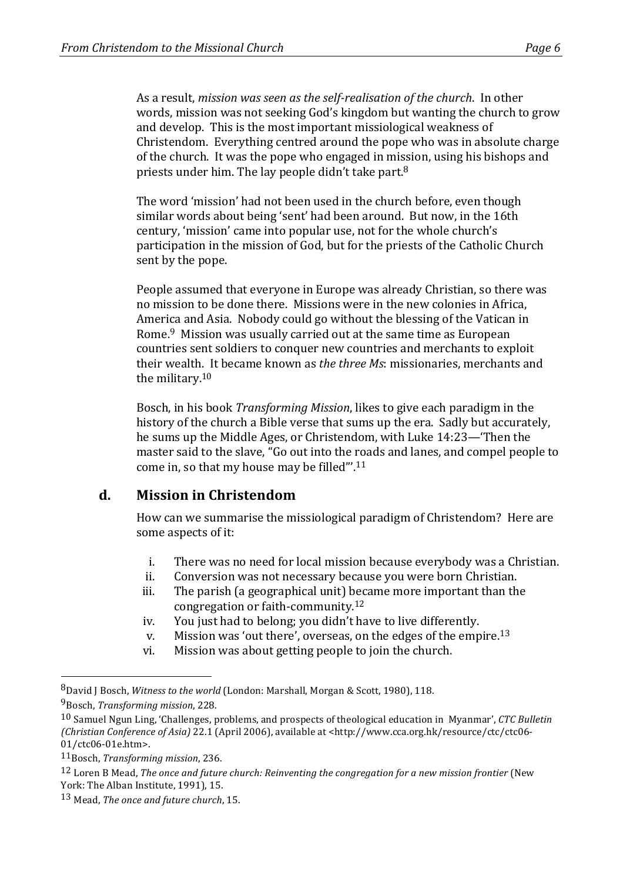As a result, *mission was seen as the self-realisation of the church*. In other words, mission was not seeking God's kingdom but wanting the church to grow and develop. This is the most important missiological weakness of Christendom. Everything centred around the pope who was in absolute charge of the church. It was the pope who engaged in mission, using his bishops and priests under him. The lay people didn't take part. $8$ 

The word 'mission' had not been used in the church before, even though similar words about being 'sent' had been around. But now, in the 16th century, 'mission' came into popular use, not for the whole church's participation in the mission of God, but for the priests of the Catholic Church sent by the pope.

People assumed that everyone in Europe was already Christian, so there was no mission to be done there. Missions were in the new colonies in Africa, America and Asia. Nobody could go without the blessing of the Vatican in Rome.<sup>9</sup> Mission was usually carried out at the same time as European countries sent soldiers to conquer new countries and merchants to exploit their wealth. It became known as *the three Ms*: missionaries, merchants and the military. $10$ 

Bosch, in his book *Transforming Mission*, likes to give each paradigm in the history of the church a Bible verse that sums up the era. Sadly but accurately, he sums up the Middle Ages, or Christendom, with Luke 14:23—'Then the master said to the slave, "Go out into the roads and lanes, and compel people to come in, so that my house may be filled".<sup>11</sup>

## **d. Mission in Christendom**

How can we summarise the missiological paradigm of Christendom? Here are some aspects of it:

- i. There was no need for local mission because everybody was a Christian.
- ii. Conversion was not necessary because you were born Christian.
- iii. The parish (a geographical unit) became more important than the congregation or faith-community. $12$
- iv. You just had to belong; you didn't have to live differently.
- v. Mission was 'out there', overseas, on the edges of the empire.<sup>13</sup>
- vi. Mission was about getting people to join the church.

<sup>&</sup>lt;sup>8</sup>David J Bosch, *Witness to the world* (London: Marshall, Morgan & Scott, 1980), 118.

<sup>9</sup>Bosch, *Transforming mission*, 228.

<sup>&</sup>lt;sup>10</sup> Samuel Ngun Ling, 'Challenges, problems, and prospects of theological education in Myanmar', *CTC Bulletin (Christian Conference of Asia)* 22.1 (April 2006), available at <http://www.cca.org.hk/resource/ctc/ctc06- 01/ctc06-01e.htm>.

<sup>11</sup>Bosch, *Transforming mission*, 236.

<sup>&</sup>lt;sup>12</sup> Loren B Mead, *The once and future church: Reinventing the congregation for a new mission frontier* (New York: The Alban Institute, 1991), 15.

<sup>13</sup> Mead, *The once and future church*, 15.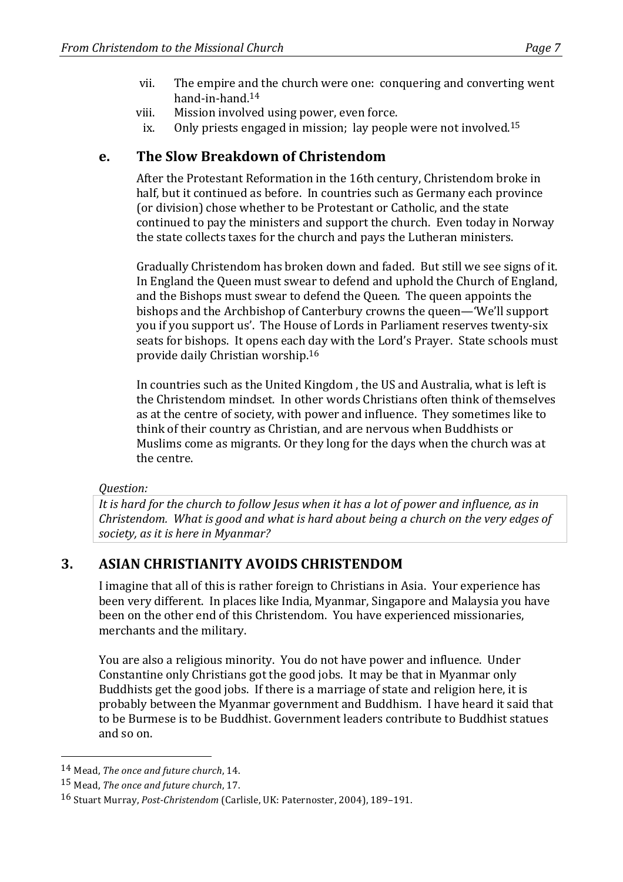- vii. The empire and the church were one: conquering and converting went hand-in-hand.14
- viii. Mission involved using power, even force.
- ix. Only priests engaged in mission; lay people were not involved.<sup>15</sup>

# **e. The Slow Breakdown of Christendom**

After the Protestant Reformation in the 16th century, Christendom broke in half, but it continued as before. In countries such as Germany each province (or division) chose whether to be Protestant or Catholic, and the state continued to pay the ministers and support the church. Even today in Norway the state collects taxes for the church and pays the Lutheran ministers.

Gradually Christendom has broken down and faded. But still we see signs of it. In England the Queen must swear to defend and uphold the Church of England, and the Bishops must swear to defend the Queen. The queen appoints the bishops and the Archbishop of Canterbury crowns the queen—'We'll support you if you support us'. The House of Lords in Parliament reserves twenty-six seats for bishops. It opens each day with the Lord's Prayer. State schools must provide daily Christian worship.<sup>16</sup>

In countries such as the United Kingdom, the US and Australia, what is left is the Christendom mindset. In other words Christians often think of themselves as at the centre of society, with power and influence. They sometimes like to think of their country as Christian, and are nervous when Buddhists or Muslims come as migrants. Or they long for the days when the church was at the centre.

#### *Question:*

It is hard for the church to follow Jesus when it has a lot of power and influence, as in *Christendom.* What is good and what is hard about being a church on the very edges of society, as it is here in Myanmar?

# **3. ASIAN CHRISTIANITY AVOIDS CHRISTENDOM**

I imagine that all of this is rather foreign to Christians in Asia. Your experience has been very different. In places like India, Myanmar, Singapore and Malaysia you have been on the other end of this Christendom. You have experienced missionaries, merchants and the military.

You are also a religious minority. You do not have power and influence. Under Constantine only Christians got the good jobs. It may be that in Myanmar only Buddhists get the good jobs. If there is a marriage of state and religion here, it is probably between the Myanmar government and Buddhism. I have heard it said that to be Burmese is to be Buddhist. Government leaders contribute to Buddhist statues and so on.

<sup>14</sup> Mead, *The once and future church*, 14.

<sup>15</sup> Mead, *The once and future church*, 17.

<sup>16</sup> Stuart Murray, *Post-Christendom* (Carlisle, UK: Paternoster, 2004), 189-191.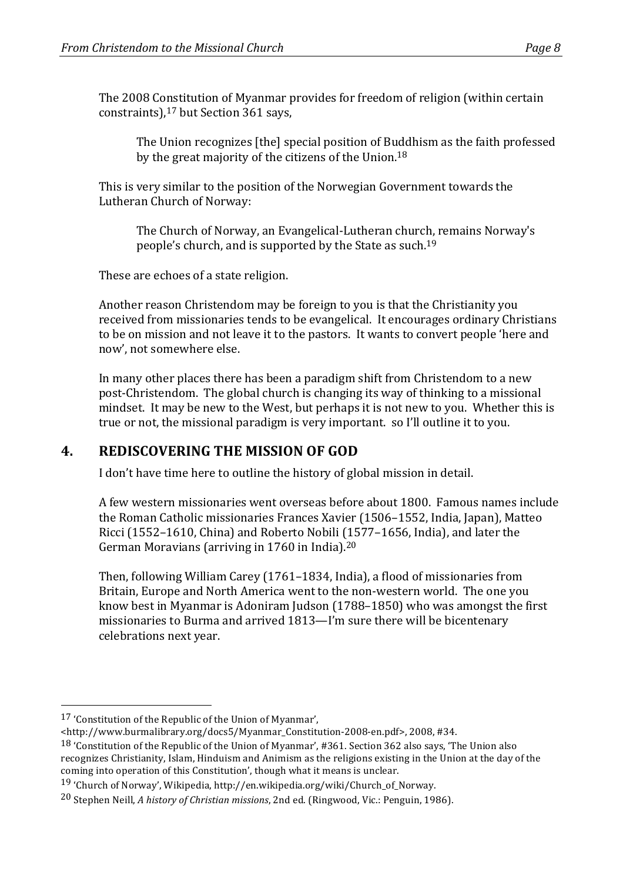The 2008 Constitution of Myanmar provides for freedom of religion (within certain constraints), $17$  but Section 361 says,

The Union recognizes [the] special position of Buddhism as the faith professed by the great majority of the citizens of the Union.<sup>18</sup>

This is very similar to the position of the Norwegian Government towards the Lutheran Church of Norway:

The Church of Norway, an Evangelical-Lutheran church, remains Norway's people's church, and is supported by the State as such.<sup>19</sup>

These are echoes of a state religion.

Another reason Christendom may be foreign to you is that the Christianity you received from missionaries tends to be evangelical. It encourages ordinary Christians to be on mission and not leave it to the pastors. It wants to convert people 'here and now', not somewhere else.

In many other places there has been a paradigm shift from Christendom to a new post-Christendom. The global church is changing its way of thinking to a missional mindset. It may be new to the West, but perhaps it is not new to you. Whether this is true or not, the missional paradigm is very important. so I'll outline it to you.

# **4. REDISCOVERING THE MISSION OF GOD**

I don't have time here to outline the history of global mission in detail.

A few western missionaries went overseas before about 1800. Famous names include the Roman Catholic missionaries Frances Xavier (1506–1552, India, Japan), Matteo Ricci (1552–1610, China) and Roberto Nobili (1577–1656, India), and later the German Moravians (arriving in  $1760$  in India).<sup>20</sup>

Then, following William Carey (1761–1834, India), a flood of missionaries from Britain, Europe and North America went to the non-western world. The one you know best in Myanmar is Adoniram Judson  $(1788-1850)$  who was amongst the first missionaries to Burma and arrived 1813—I'm sure there will be bicentenary celebrations next year.

<sup>17 &#</sup>x27;Constitution of the Republic of the Union of Myanmar',

<sup>&</sup>lt;http://www.burmalibrary.org/docs5/Myanmar\_Constitution-2008-en.pdf>, 2008, #34.

 $18$  'Constitution of the Republic of the Union of Myanmar', #361. Section 362 also says, 'The Union also recognizes Christianity, Islam, Hinduism and Animism as the religions existing in the Union at the day of the coming into operation of this Constitution', though what it means is unclear.

<sup>&</sup>lt;sup>19</sup> 'Church of Norway', Wikipedia, http://en.wikipedia.org/wiki/Church\_of\_Norway.

<sup>&</sup>lt;sup>20</sup> Stephen Neill, *A history of Christian missions*, 2nd ed. (Ringwood, Vic.: Penguin, 1986).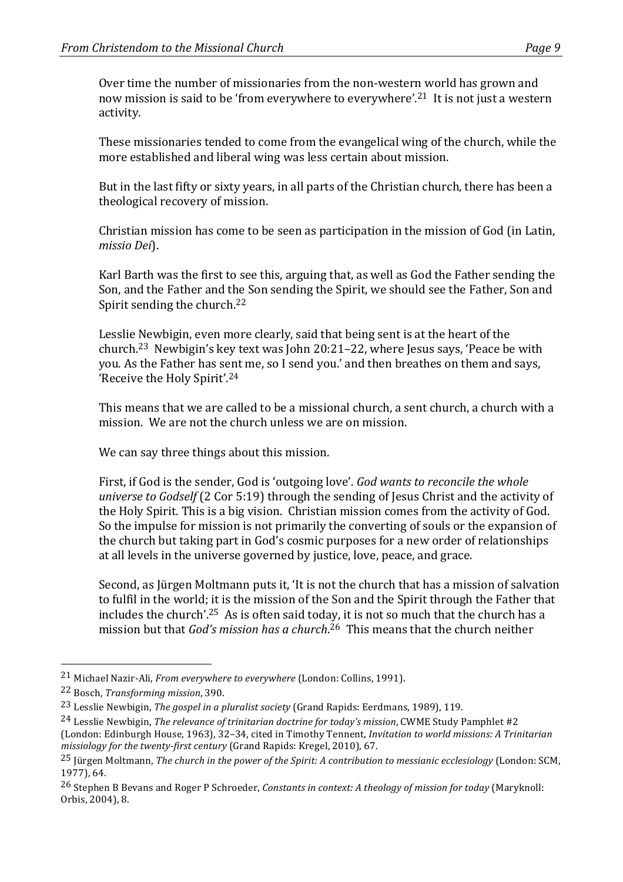Over time the number of missionaries from the non-western world has grown and now mission is said to be 'from everywhere to everywhere'.<sup>21</sup> It is not just a western activity.

These missionaries tended to come from the evangelical wing of the church, while the more established and liberal wing was less certain about mission.

But in the last fifty or sixty years, in all parts of the Christian church, there has been a theological recovery of mission.

Christian mission has come to be seen as participation in the mission of God (in Latin, *missio Dei*).

Karl Barth was the first to see this, arguing that, as well as God the Father sending the Son, and the Father and the Son sending the Spirit, we should see the Father, Son and Spirit sending the church.<sup>22</sup>

Lesslie Newbigin, even more clearly, said that being sent is at the heart of the church.<sup>23</sup> Newbigin's key text was John  $20:21-22$ , where Jesus says, 'Peace be with you. As the Father has sent me, so I send you,' and then breathes on them and says, 'Receive the Holy Spirit'.<sup>24</sup>

This means that we are called to be a missional church, a sent church, a church with a mission. We are not the church unless we are on mission.

We can say three things about this mission.

First, if God is the sender, God is 'outgoing love'. God wants to reconcile the whole *universe to Godself* (2 Cor 5:19) through the sending of Jesus Christ and the activity of the Holy Spirit. This is a big vision. Christian mission comes from the activity of God. So the impulse for mission is not primarily the converting of souls or the expansion of the church but taking part in God's cosmic purposes for a new order of relationships at all levels in the universe governed by justice, love, peace, and grace.

Second, as Jürgen Moltmann puts it, 'It is not the church that has a mission of salvation to fulfil in the world; it is the mission of the Son and the Spirit through the Father that includes the church'.<sup>25</sup> As is often said today, it is not so much that the church has a mission but that *God's mission has a church*.<sup>26</sup> This means that the church neither

<sup>&</sup>lt;sup>21</sup> Michael Nazir-Ali, *From everywhere to everywhere* (London: Collins, 1991).

<sup>&</sup>lt;sup>22</sup> Bosch, *Transforming mission*, 390.

<sup>&</sup>lt;sup>23</sup> Lesslie Newbigin, *The gospel in a pluralist society* (Grand Rapids: Eerdmans, 1989), 119.

 $^{24}$  Lesslie Newbigin, *The relevance of trinitarian doctrine for today's mission*, CWME Study Pamphlet #2 (London: Edinburgh House, 1963), 32-34, cited in Timothy Tennent, *Invitation to world missions: A Trinitarian missiology for the twenty-first century* (Grand Rapids: Kregel, 2010), 67.

<sup>&</sup>lt;sup>25</sup> Jürgen Moltmann, *The church in the power of the Spirit: A contribution to messianic ecclesiology* (London: SCM, 1977), 64.

<sup>&</sup>lt;sup>26</sup> Stephen B Bevans and Roger P Schroeder, *Constants in context: A theology of mission for today* (Maryknoll: Orbis, 2004), 8.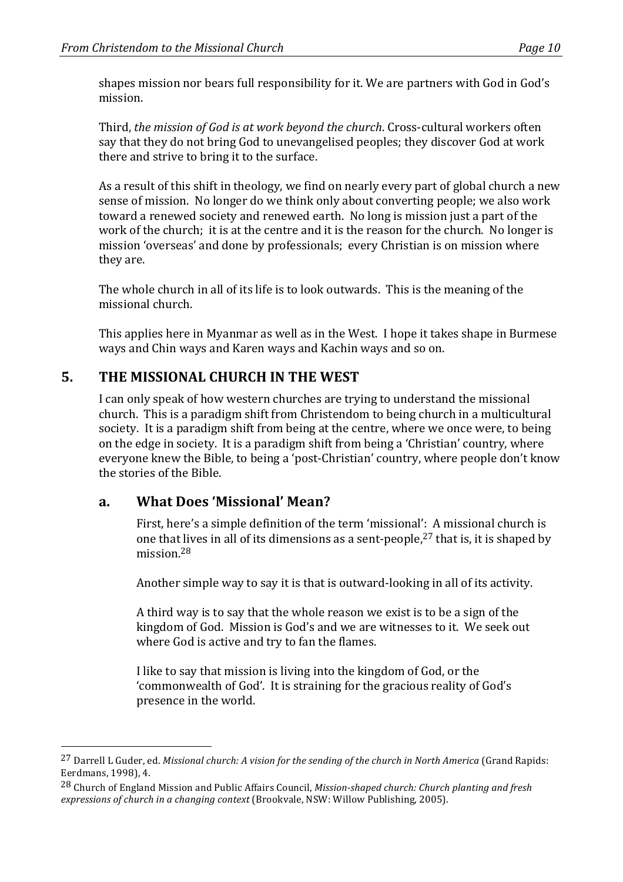shapes mission nor bears full responsibility for it. We are partners with God in God's mission.

Third, *the mission of God is at work beyond the church*. Cross-cultural workers often say that they do not bring God to unevangelised peoples; they discover God at work there and strive to bring it to the surface.

As a result of this shift in theology, we find on nearly every part of global church a new sense of mission. No longer do we think only about converting people; we also work toward a renewed society and renewed earth. No long is mission just a part of the work of the church; it is at the centre and it is the reason for the church. No longer is mission 'overseas' and done by professionals; every Christian is on mission where they are.

The whole church in all of its life is to look outwards. This is the meaning of the missional church.

This applies here in Myanmar as well as in the West. I hope it takes shape in Burmese ways and Chin ways and Karen ways and Kachin ways and so on.

## **5.** THE MISSIONAL CHURCH IN THE WEST

I can only speak of how western churches are trying to understand the missional church. This is a paradigm shift from Christendom to being church in a multicultural society. It is a paradigm shift from being at the centre, where we once were, to being on the edge in society. It is a paradigm shift from being a 'Christian' country, where everyone knew the Bible, to being a 'post-Christian' country, where people don't know the stories of the Bible.

## **a. What Does 'Missional' Mean?**

 

First, here's a simple definition of the term 'missional': A missional church is one that lives in all of its dimensions as a sent-people,<sup>27</sup> that is, it is shaped by mission.<sup>28</sup>

Another simple way to say it is that is outward-looking in all of its activity.

A third way is to say that the whole reason we exist is to be a sign of the kingdom of God. Mission is God's and we are witnesses to it. We seek out where God is active and try to fan the flames.

I like to say that mission is living into the kingdom of God, or the 'commonwealth of God'. It is straining for the gracious reality of God's presence in the world.

<sup>&</sup>lt;sup>27</sup> Darrell L Guder, ed. *Missional church: A vision for the sending of the church in North America* (Grand Rapids: Eerdmans, 1998), 4.

<sup>&</sup>lt;sup>28</sup> Church of England Mission and Public Affairs Council, *Mission-shaped church: Church planting and fresh expressions of church in a changing context* (Brookvale, NSW: Willow Publishing, 2005).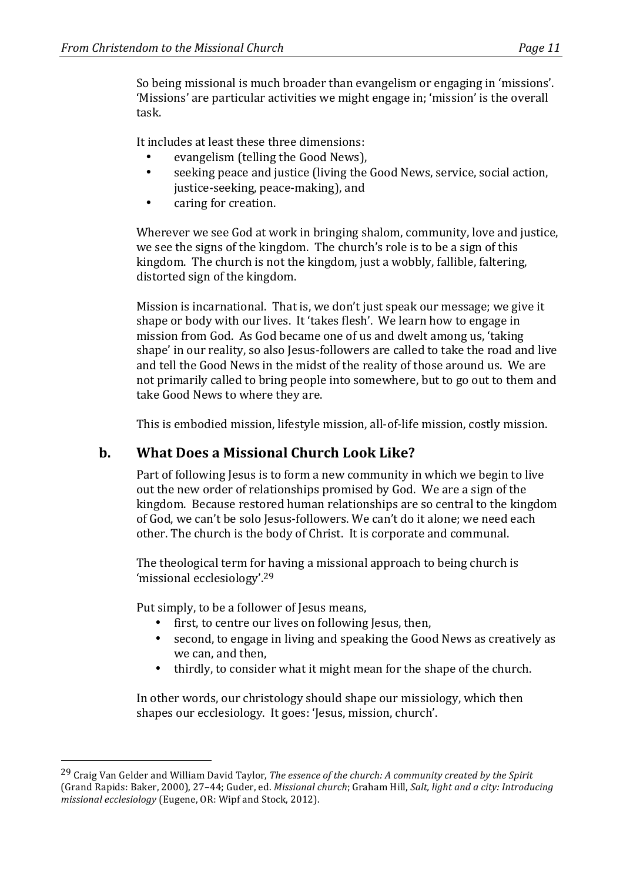So being missional is much broader than evangelism or engaging in 'missions'. 'Missions' are particular activities we might engage in; 'mission' is the overall task.

It includes at least these three dimensions:

- evangelism (telling the Good News).
- seeking peace and justice (living the Good News, service, social action, justice-seeking, peace-making), and
- caring for creation.

Wherever we see God at work in bringing shalom, community, love and justice, we see the signs of the kingdom. The church's role is to be a sign of this kingdom. The church is not the kingdom, just a wobbly, fallible, faltering, distorted sign of the kingdom.

Mission is incarnational. That is, we don't just speak our message; we give it shape or body with our lives. It 'takes flesh'. We learn how to engage in mission from God. As God became one of us and dwelt among us, 'taking shape' in our reality, so also Jesus-followers are called to take the road and live and tell the Good News in the midst of the reality of those around us. We are not primarily called to bring people into somewhere, but to go out to them and take Good News to where they are.

This is embodied mission, lifestyle mission, all-of-life mission, costly mission.

## **b. What Does a Missional Church Look Like?**

Part of following Jesus is to form a new community in which we begin to live out the new order of relationships promised by God. We are a sign of the kingdom. Because restored human relationships are so central to the kingdom of God, we can't be solo Jesus-followers. We can't do it alone; we need each other. The church is the body of Christ. It is corporate and communal.

The theological term for having a missional approach to being church is 'missional ecclesiology'.<sup>29</sup>

Put simply, to be a follower of Jesus means,

 

- first, to centre our lives on following Jesus, then,
- second, to engage in living and speaking the Good News as creatively as we can, and then,
- thirdly, to consider what it might mean for the shape of the church.

In other words, our christology should shape our missiology, which then shapes our ecclesiology. It goes: 'Jesus, mission, church'.

<sup>&</sup>lt;sup>29</sup> Craig Van Gelder and William David Taylor, *The essence of the church: A community created by the Spirit* (Grand Rapids: Baker, 2000), 27-44; Guder, ed. *Missional church*; Graham Hill, *Salt, light and a city: Introducing missional ecclesiology* (Eugene, OR: Wipf and Stock, 2012).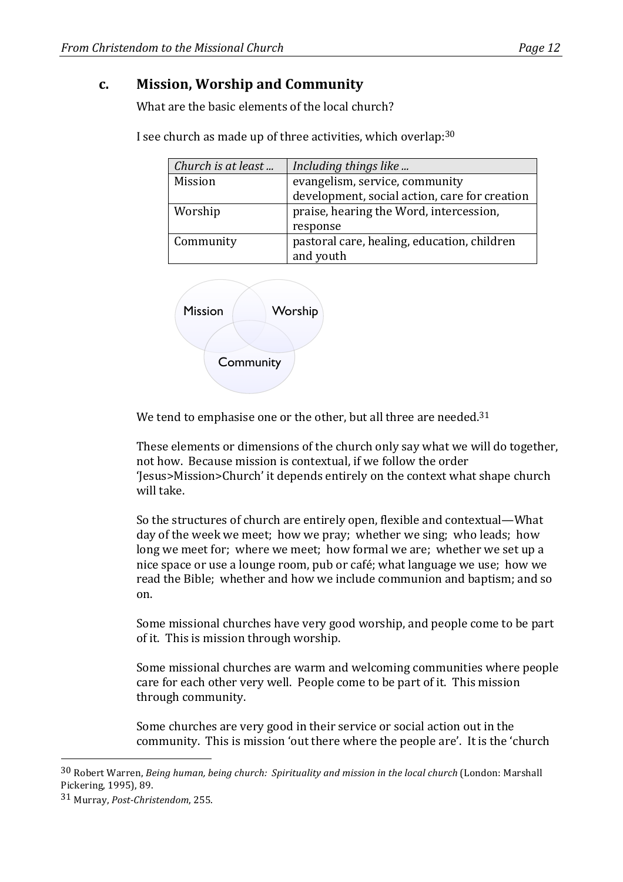# **c. Mission, Worship and Community**

What are the basic elements of the local church?

I see church as made up of three activities, which overlap: $30$ 

| Church is at least | Including things like                         |
|--------------------|-----------------------------------------------|
| <b>Mission</b>     | evangelism, service, community                |
|                    | development, social action, care for creation |
| Worship            | praise, hearing the Word, intercession,       |
|                    | response                                      |
| Community          | pastoral care, healing, education, children   |
|                    | and youth                                     |



We tend to emphasise one or the other, but all three are needed.<sup>31</sup>

These elements or dimensions of the church only say what we will do together, not how. Because mission is contextual, if we follow the order 'Iesus>Mission>Church' it depends entirely on the context what shape church will take

So the structures of church are entirely open, flexible and contextual—What day of the week we meet; how we pray; whether we sing; who leads; how long we meet for; where we meet; how formal we are; whether we set up a nice space or use a lounge room, pub or café; what language we use; how we read the Bible; whether and how we include communion and baptism; and so on.

Some missional churches have very good worship, and people come to be part of it. This is mission through worship.

Some missional churches are warm and welcoming communities where people care for each other very well. People come to be part of it. This mission through community.

Some churches are very good in their service or social action out in the community. This is mission 'out there where the people are'. It is the 'church

<sup>30</sup> Robert Warren, *Being human, being church: Spirituality and mission in the local church* (London: Marshall Pickering, 1995), 89.

<sup>31</sup> Murray, *Post-Christendom*, 255.